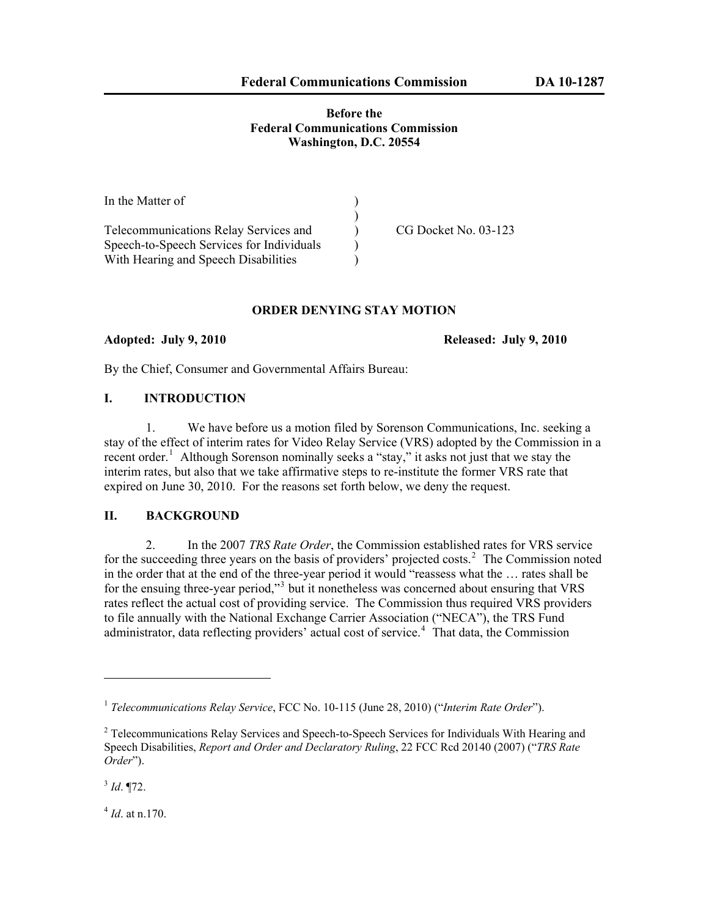#### **Before the Federal Communications Commission Washington, D.C. 20554**

| In the Matter of                          |                      |
|-------------------------------------------|----------------------|
|                                           |                      |
| Telecommunications Relay Services and     | CG Docket No. 03-123 |
| Speech-to-Speech Services for Individuals |                      |
| With Hearing and Speech Disabilities      |                      |

#### **ORDER DENYING STAY MOTION**

**Adopted: July 9, 2010 Released: July 9, 2010** 

By the Chief, Consumer and Governmental Affairs Bureau:

# **I. INTRODUCTION**

1. We have before us a motion filed by Sorenson Communications, Inc. seeking a stay of the effect of interim rates for Video Relay Service (VRS) adopted by the Commission in a recent order.<sup>[1](#page-0-0)</sup> Although Sorenson nominally seeks a "stay," it asks not just that we stay the interim rates, but also that we take affirmative steps to re-institute the former VRS rate that expired on June 30, 2010. For the reasons set forth below, we deny the request.

# **II. BACKGROUND**

2. In the 2007 *TRS Rate Order*, the Commission established rates for VRS service for the succeeding three years on the basis of providers' projected costs.<sup>[2](#page-0-1)</sup> The Commission noted in the order that at the end of the three-year period it would "reassess what the … rates shall be for the ensuing three-year period,"<sup>[3](#page-0-2)</sup> but it nonetheless was concerned about ensuring that VRS rates reflect the actual cost of providing service. The Commission thus required VRS providers to file annually with the National Exchange Carrier Association ("NECA"), the TRS Fund administrator, data reflecting providers' actual cost of service.<sup>[4](#page-0-3)</sup> That data, the Commission

<span id="page-0-2"></span> $3$  *Id*. 172.

 $\overline{a}$ 

<span id="page-0-3"></span><sup>4</sup> *Id*. at n.170.

<span id="page-0-0"></span><sup>1</sup> *Telecommunications Relay Service*, FCC No. 10-115 (June 28, 2010) ("*Interim Rate Order*").

<span id="page-0-1"></span><sup>&</sup>lt;sup>2</sup> Telecommunications Relay Services and Speech-to-Speech Services for Individuals With Hearing and Speech Disabilities, *Report and Order and Declaratory Ruling*, 22 FCC Rcd 20140 (2007) ("*TRS Rate Order*").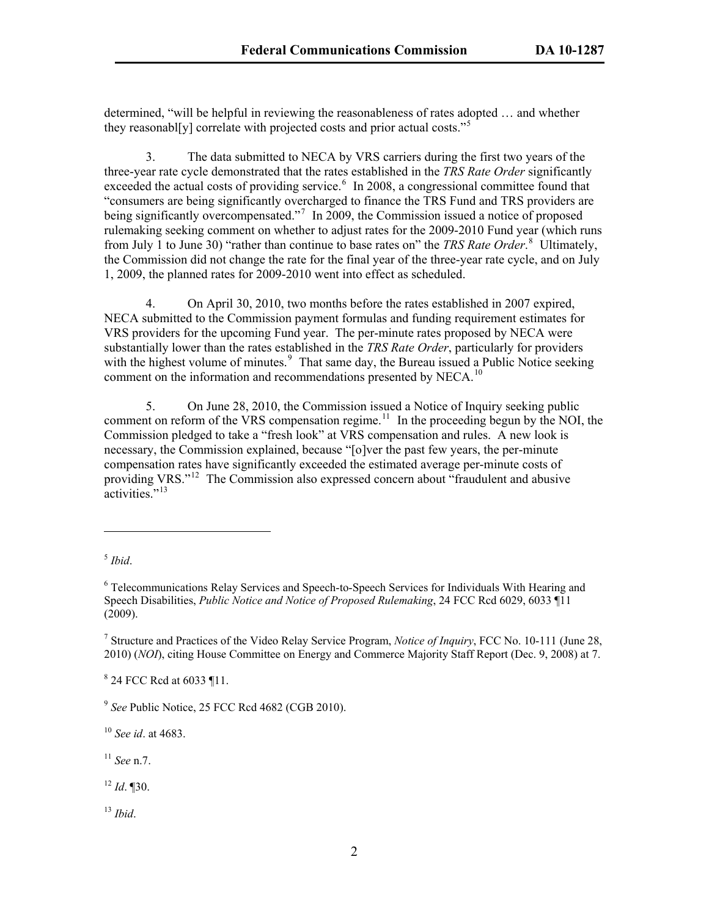determined, "will be helpful in reviewing the reasonableness of rates adopted … and whether they reasonabl[y] correlate with projected costs and prior actual costs."<sup>5</sup>

3. The data submitted to NECA by VRS carriers during the first two years of the three-year rate cycle demonstrated that the rates established in the *TRS Rate Order* significantly exceeded the actual costs of providing service.<sup>[6](#page-1-0)</sup> In 2008, a congressional committee found that "consumers are being significantly overcharged to finance the TRS Fund and TRS providers are being significantly overcompensated."<sup>[7](#page-1-1)</sup> In 2009, the Commission issued a notice of proposed rulemaking seeking comment on whether to adjust rates for the 2009-2010 Fund year (which runs from July 1 to June 30) "rather than continue to base rates on" the *TRS Rate Order*.<sup>[8](#page-1-2)</sup> Ultimately, the Commission did not change the rate for the final year of the three-year rate cycle, and on July 1, 2009, the planned rates for 2009-2010 went into effect as scheduled.

4. On April 30, 2010, two months before the rates established in 2007 expired, NECA submitted to the Commission payment formulas and funding requirement estimates for VRS providers for the upcoming Fund year. The per-minute rates proposed by NECA were substantially lower than the rates established in the *TRS Rate Order*, particularly for providers with the highest volume of minutes.<sup>[9](#page-1-3)</sup> That same day, the Bureau issued a Public Notice seeking comment on the information and recommendations presented by NECA.<sup>[10](#page-1-4)</sup>

5. On June 28, 2010, the Commission issued a Notice of Inquiry seeking public comment on reform of the VRS compensation regime.<sup>[11](#page-1-5)</sup> In the proceeding begun by the NOI, the Commission pledged to take a "fresh look" at VRS compensation and rules. A new look is necessary, the Commission explained, because "[o]ver the past few years, the per-minute compensation rates have significantly exceeded the estimated average per-minute costs of providing VRS."[12](#page-1-6) The Commission also expressed concern about "fraudulent and abusive activities."<sup>[13](#page-1-7)</sup>

 $\overline{a}$ 

<span id="page-1-2"></span><sup>8</sup> 24 FCC Red at 6033 ¶11.

<span id="page-1-3"></span><sup>9</sup> *See* Public Notice, 25 FCC Rcd 4682 (CGB 2010).

<span id="page-1-4"></span><sup>10</sup> *See id*. at 4683.

<span id="page-1-5"></span><sup>11</sup> *See* n.7.

<span id="page-1-6"></span><sup>12</sup> *Id*. ¶30.

<span id="page-1-7"></span><sup>13</sup> *Ibid*.

<sup>5</sup> *Ibid*.

<span id="page-1-0"></span><sup>&</sup>lt;sup>6</sup> Telecommunications Relay Services and Speech-to-Speech Services for Individuals With Hearing and Speech Disabilities, *Public Notice and Notice of Proposed Rulemaking*, 24 FCC Rcd 6029, 6033 ¶11 (2009).

<span id="page-1-1"></span><sup>7</sup> Structure and Practices of the Video Relay Service Program, *Notice of Inquiry*, FCC No. 10-111 (June 28, 2010) (*NOI*), citing House Committee on Energy and Commerce Majority Staff Report (Dec. 9, 2008) at 7.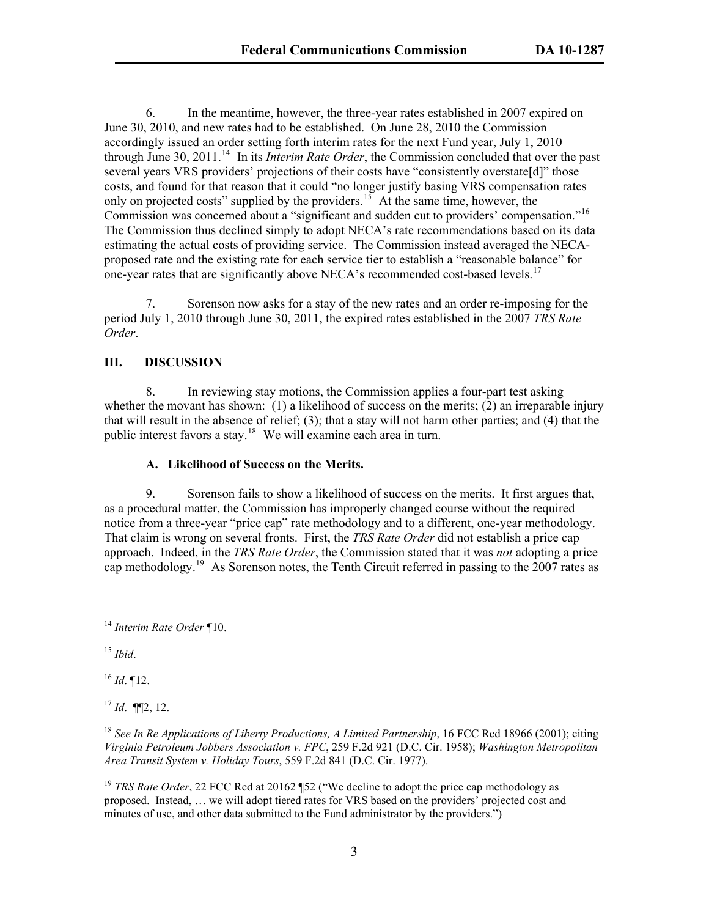6. In the meantime, however, the three-year rates established in 2007 expired on June 30, 2010, and new rates had to be established. On June 28, 2010 the Commission accordingly issued an order setting forth interim rates for the next Fund year, July 1, 2010 through June 30, 2011.<sup>[14](#page-2-0)</sup> In its *Interim Rate Order*, the Commission concluded that over the past several years VRS providers' projections of their costs have "consistently overstate[d]" those costs, and found for that reason that it could "no longer justify basing VRS compensation rates only on projected costs" supplied by the providers.<sup>[15](#page-2-1)</sup> At the same time, however, the Commission was concerned about a "significant and sudden cut to providers' compensation."<sup>16</sup> The Commission thus declined simply to adopt NECA's rate recommendations based on its d ata estimating the actual costs of providing service. The Commission instead averaged the NECAproposed rate and the existing rate for each service tier to establish a "reasonable balance" for one-year rates that are significantly above NECA's recommended cost-based levels.<sup>[17](#page-2-2)</sup>

7. Sorenson now asks for a stay of the new rates and an order re-imposing for the period July 1, 2010 through June 30, 2011, the expired rates established in the 2007 *TRS Rate Order*.

# **III. DISCUSSION**

8. In reviewing stay motions, the Commission applies a four-part test asking whether the movant has shown: (1) a likelihood of success on the merits; (2) an irreparable injury that will result in the absence of relief; (3); that a stay will not harm other parties; and (4) that the public interest favors a stay.<sup>[18](#page-2-3)</sup> We will examine each area in turn.

### **A. Likelihood of Success on the Merits.**

9. Sorenson fails to show a likelihood of success on the merits. It first argues that, as a procedural matter, the Commission has improperly changed course without the required notice from a three-year "price cap" rate methodology and to a different, one-year methodology. That claim is wrong on several fronts. First, the *TRS Rate Order* did not establish a price cap approach. Indeed, in the *TRS Rate Order*, the Commission stated that it was *not* adopting a price cap methodology.<sup>[19](#page-2-4)</sup> As Sorenson notes, the Tenth Circuit referred in passing to the 2007 rates as

<span id="page-2-1"></span><sup>15</sup> *Ibid*.

 $\overline{a}$ 

<span id="page-2-2"></span><sup>16</sup> *Id*. ¶12.

<sup>17</sup> *Id*. ¶¶2, 12.

<span id="page-2-0"></span><sup>14</sup> *Interim Rate Order* ¶10.

<span id="page-2-3"></span><sup>&</sup>lt;sup>18</sup> See In Re Applications of Liberty Productions, A Limited Partnership, 16 FCC Rcd 18966 (2001); citing *Virginia Petroleum Jobbers Association v. FPC*, 259 F.2d 921 (D.C. Cir. 1958); *Washington Metropolitan Area Transit System v. Holiday Tours*, 559 F.2d 841 (D.C. Cir. 1977).

<span id="page-2-4"></span><sup>&</sup>lt;sup>19</sup> *TRS Rate Order*, 22 FCC Rcd at 20162 ¶52 ("We decline to adopt the price cap methodology as proposed. Instead, … we will adopt tiered rates for VRS based on the providers' projected cost and minutes of use, and other data submitted to the Fund administrator by the providers.")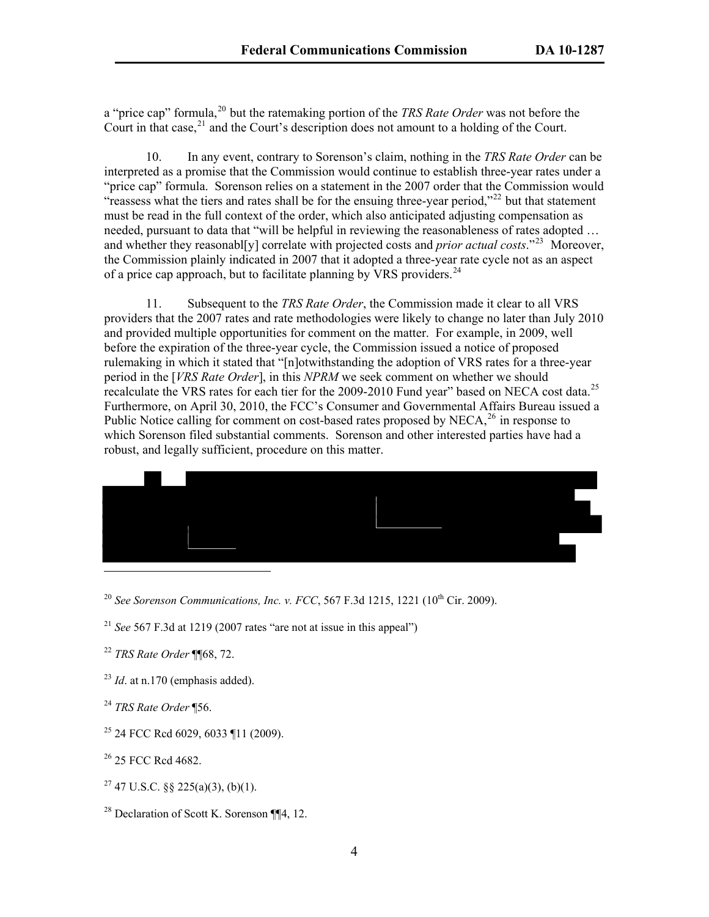a "price cap" formula,<sup>20</sup> but the ratemaking portion of the *TRS Rate Order* was not before the Court in that case,  $^{21}$  and the Court's description does not amount to a holding of the Court.

10. In any event, contrary to Sorenson's claim, nothing in the *TRS Rate Order* can be interpreted as a promise that the Commission would continue to establish three-year rates under a "price cap" formula. Sorenson relies on a statement in the 2007 order that the Commission would "reassess what the tiers and rates shall be for the ensuing three-year period,"<sup>[22](#page-3-0)</sup> but that statement must be read in the full context of the order, which also anticipated adjusting compensation as needed, pursuant to data that "will be helpful in reviewing the reasonableness of rates adopted … and whether they reasonabl<sup>[y]</sup> correlate with projected costs and *prior actual costs*."<sup>[23](#page-3-1)</sup> Moreover, the Commission plainly indicated in 2007 that it adopted a three-year rate cycle not as an aspect of a price cap approach, but to facilitate planning by VRS providers.<sup>[24](#page-3-2)</sup>

11. Subsequent to the *TRS Rate Order*, the Commission made it clear to all VRS providers that the 2007 rates and rate methodologies were likely to change no later than July 2010 and provided multiple opportunities for comment on the matter. For example, in 2009, well before the expiration of the three-year cycle, the Commission issued a notice of proposed rulemaking in which it stated that "[n]otwithstanding the adoption of VRS rates for a three-year period in the [*VRS Rate Order*], in this *NPRM* we seek comment on whether we should recalculate the VRS rates for each tier for the 2009-2010 Fund year" based on NECA cost data.<sup>[25](#page-3-3)</sup> Furthermore, on April 30, 2010, the FCC's Consumer and Governmental Affairs Bureau issued a Public Notice calling for comment on cost-based rates proposed by NECA, $^{26}$  $^{26}$  $^{26}$  in response to which Sorenson filed substantial comments. Sorenson and other interested parties have had a robust, and legally sufficient, procedure on this matter.



- <sup>20</sup> *See Sorenson Communications, Inc. v. FCC, 567 F.3d 1215, 1221* (10<sup>th</sup> Cir. 2009).
- <sup>21</sup> *See* 567 F.3d at 1219 (2007 rates "are not at issue in this appeal")
- <span id="page-3-0"></span><sup>22</sup> *TRS Rate Order* ¶¶68, 72.
- <span id="page-3-1"></span> $^{23}$  *Id.* at n.170 (emphasis added).
- <span id="page-3-2"></span><sup>24</sup> *TRS Rate Order* ¶56.
- <span id="page-3-3"></span>25 24 FCC Rcd 6029, 6033 ¶11 (2009).
- <span id="page-3-4"></span><sup>26</sup> 25 FCC Rcd 4682.
- $27$  47 U.S.C. §§ 225(a)(3), (b)(1).
- <sup>28</sup> Declaration of Scott K. Sorenson  $\P$ [4, 12.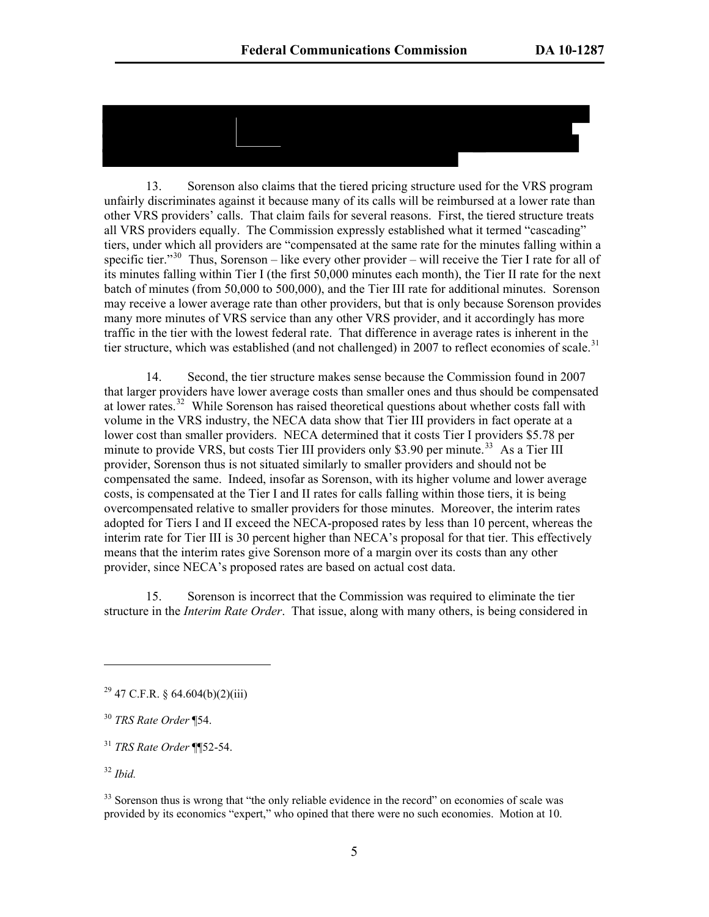13. Sorenson also claims that the tiered pricing structure used for the VRS program unfairly discriminates against it because many of its calls will be reimbursed at a lower rate than other VRS providers' calls. That claim fails for several reasons. First, the tiered structure treats all VRS providers equally. The Commission expressly established what it termed "cascading" tiers, under which all providers are "compensated at the same rate for the minutes falling within a specific tier."<sup>[30](#page-4-0)</sup> Thus, Sorenson – like every other provider – will receive the Tier I rate for all of its minutes falling within Tier I (the first 50,000 minutes each month), the Tier II rate for the next batch of minutes (from 50,000 to 500,000), and the Tier III rate for additional minutes. Sorenson may receive a lower average rate than other providers, but that is only because Sorenson provides many more minutes of VRS service than any other VRS provider, and it accordingly has more traffic in the tier with the lowest federal rate. That difference in average rates is inherent in the tier structure, which was established (and not challenged) in 2007 to reflect economies of scale.<sup>[31](#page-4-1)</sup>

14. Second, the tier structure makes sense because the Commission found in 2007 that larger providers have lower average costs than smaller ones and thus should be compensated at lower rates.<sup>[32](#page-4-2)</sup> While Sorenson has raised theoretical questions about whether costs fall with volume in the VRS industry, the NECA data show that Tier III providers in fact operate at a lower cost than smaller providers. NECA determined that it costs Tier I providers \$5.78 per minute to provide VRS, but costs Tier III providers only \$3.90 per minute.<sup>[33](#page-4-3)</sup> As a Tier III provider, Sorenson thus is not situated similarly to smaller providers and should not be compensated the same. Indeed, insofar as Sorenson, with its higher volume and lower average costs, is compensated at the Tier I and II rates for calls falling within those tiers, it is being overcompensated relative to smaller providers for those minutes. Moreover, the interim rates adopted for Tiers I and II exceed the NECA-proposed rates by less than 10 percent, whereas the interim rate for Tier III is 30 percent higher than NECA's proposal for that tier. This effectively means that the interim rates give Sorenson more of a margin over its costs than any other provider, since NECA's proposed rates are based on actual cost data.

15. Sorenson is incorrect that the Commission was required to eliminate the tier structure in the *Interim Rate Order*. That issue, along with many others, is being considered in

<span id="page-4-2"></span><sup>32</sup> *Ibid.*

 $\overline{a}$ 

 $^{29}$  47 C.F.R. § 64.604(b)(2)(iii)

<span id="page-4-0"></span><sup>30</sup> *TRS Rate Order* ¶54.

<span id="page-4-1"></span><sup>31</sup> *TRS Rate Order* ¶¶52-54.

<span id="page-4-3"></span><sup>&</sup>lt;sup>33</sup> Sorenson thus is wrong that "the only reliable evidence in the record" on economies of scale was provided by its economics "expert," who opined that there were no such economies. Motion at 10.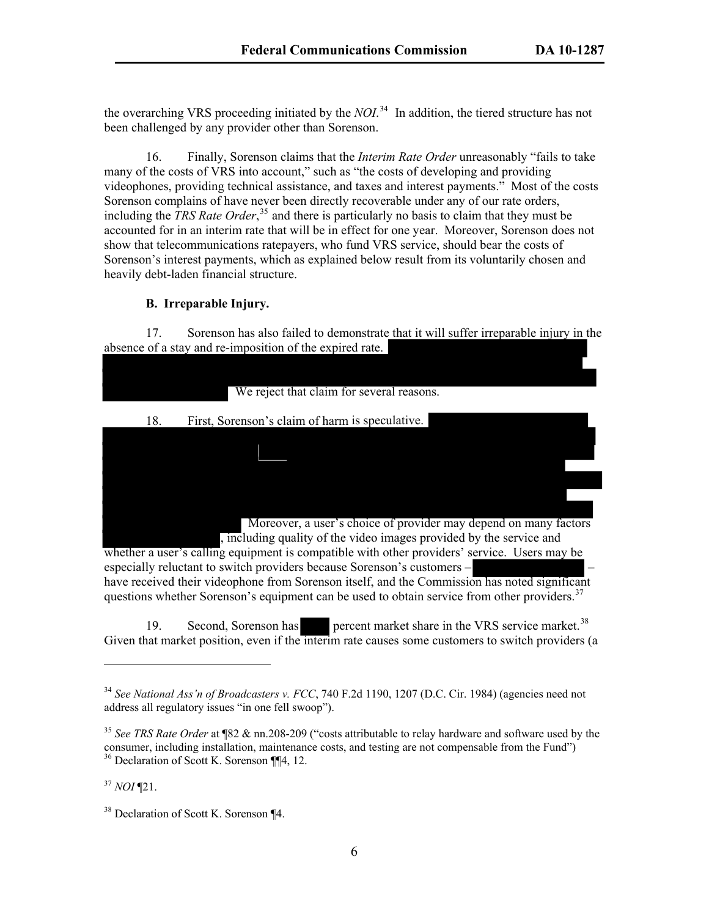the overarching VRS proceeding initiated by the *NOI*. 34 In addition, the tiered structure has not been challenged by any provider other than Sorenson.

16. Finally, Sorenson claims that the *Interim Rate Order* unreasonably "fails to take many of the costs of VRS into account," such as "the costs of developing and providing videophones, providing technical assistance, and taxes and interest payments." Most of the costs Sorenson complains of have never been directly recoverable under any of our rate orders, including the *TRS Rate Order*, [35](#page-5-0) and there is particularly no basis to claim that they must be accounted for in an interim rate that will be in effect for one year. Moreover, Sorenson does not show that telecommunications ratepayers, who fund VRS service, should bear the costs of Sorenson's interest payments, which as explained below result from its voluntarily chosen and heavily debt-laden financial structure.

#### **B. Irreparable Injury.**

17. Sorenson has also failed to demonstrate that it will suffer irreparable injury in the absence of a stay and re-imposition of the expired rate.

| We reject that claim for several reasons.                                                    |
|----------------------------------------------------------------------------------------------|
|                                                                                              |
| 18.<br>First, Sorenson's claim of harm is speculative.                                       |
|                                                                                              |
|                                                                                              |
|                                                                                              |
|                                                                                              |
|                                                                                              |
| Moreover, a user's choice of provider may depend on many factors                             |
| , including quality of the video images provided by the service and                          |
| whether a user's calling equipment is compatible with other providers' service. Users may be |
| especially reluctant to switch providers because Sorenson's customers –                      |
|                                                                                              |

have received their videophone from Sorenson itself, and the Commission has noted significant questions whether Sorenson's equipment can be used to obtain service from other providers.<sup>[37](#page-5-1)</sup>

19. Second, Sorenson has percent market share in the VRS service market.<sup>[38](#page-5-2)</sup> Given that market position, even if the interim rate causes some customers to switch providers (a

<span id="page-5-1"></span><sup>37</sup> *NOI* ¶21.

 $\overline{a}$ 

<sup>34</sup> *See National Ass'n of Broadcasters v. FCC*, 740 F.2d 1190, 1207 (D.C. Cir. 1984) (agencies need not address all regulatory issues "in one fell swoop").

<span id="page-5-0"></span><sup>35</sup> *See TRS Rate Order* at ¶82 & nn.208-209 ("costs attributable to relay hardware and software used by the consumer, including installation, maintenance costs, and testing are not compensable from the Fund") <sup>36</sup> Declaration of Scott K. Sorenson ¶¶4, 12.

<span id="page-5-2"></span><sup>38</sup> Declaration of Scott K. Sorenson ¶4.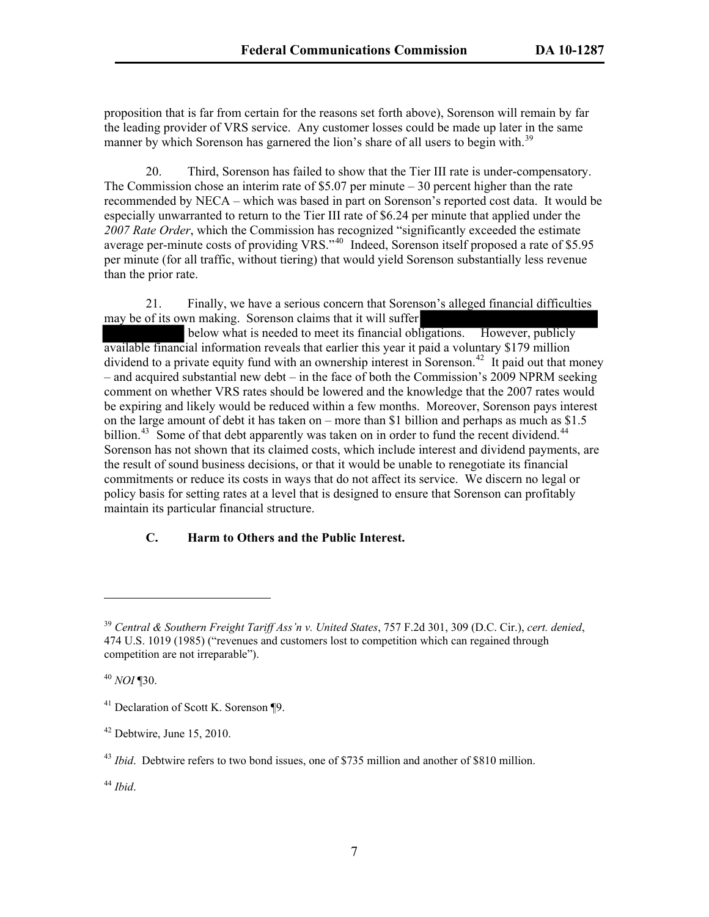proposition that is far from certain for the reasons set forth above), Sorenson will remain by far the leading provider of VRS service. Any customer losses could be made up later in the same manner by which Sorenson has garnered the lion's share of all users to begin with.<sup>39</sup>

20. Third, Sorenson has failed to show that the Tier III rate is under-compensatory. The Commission chose an interim rate of \$5.07 per minute  $-30$  percent higher than the rate recommended by NECA – which was based in part on Sorenson's reported cost data. It would be especially unwarranted to return to the Tier III rate of \$6.24 per minute that applied under the *2007 Rate Order*, which the Commission has recognized "significantly exceeded the estimate average per-minute costs of providing VRS."<sup>[40](#page-6-0)</sup> Indeed, Sorenson itself proposed a rate of \$5.95 per minute (for all traffic, without tiering) that would yield Sorenson substantially less revenue than the prior rate.

21. Finally, we have a serious concern that Sorenson's alleged financial difficulties may be of its own making. Sorenson claims that it will suffer

 below what is needed to meet its financial obligations. However, publicly available financial information reveals that earlier this year it paid a voluntary \$179 million dividend to a private equity fund with an ownership interest in Sorenson.<sup>[42](#page-6-1)</sup> It paid out that money – and acquired substantial new debt – in the face of both the Commission's 2009 NPRM seeking comment on whether VRS rates should be lowered and the knowledge that the 2007 rates would be expiring and likely would be reduced within a few months. Moreover, Sorenson pays interest on the large amount of debt it has taken on – more than \$1 billion and perhaps as much as \$1.5 billion.<sup>[43](#page-6-2)</sup> Some of that debt apparently was taken on in order to fund the recent dividend.<sup>[44](#page-6-3)</sup> Sorenson has not shown that its claimed costs, which include interest and dividend payments, are the result of sound business decisions, or that it would be unable to renegotiate its financial commitments or reduce its costs in ways that do not affect its service. We discern no legal or policy basis for setting rates at a level that is designed to ensure that Sorenson can profitably maintain its particular financial structure.

# **C. Harm to Others and the Public Interest.**

<span id="page-6-0"></span><sup>40</sup> *NOI* ¶30.

 $\overline{a}$ 

<span id="page-6-3"></span><sup>44</sup> *Ibid*.

<sup>39</sup> *Central & Southern Freight Tariff Ass'n v. United States*, 757 F.2d 301, 309 (D.C. Cir.), *cert. denied*, 474 U.S. 1019 (1985) ("revenues and customers lost to competition which can regained through competition are not irreparable").

<sup>41</sup> Declaration of Scott K. Sorenson ¶9.

<span id="page-6-1"></span> $42$  Debtwire, June 15, 2010.

<span id="page-6-2"></span><sup>&</sup>lt;sup>43</sup> *Ibid*. Debtwire refers to two bond issues, one of \$735 million and another of \$810 million.